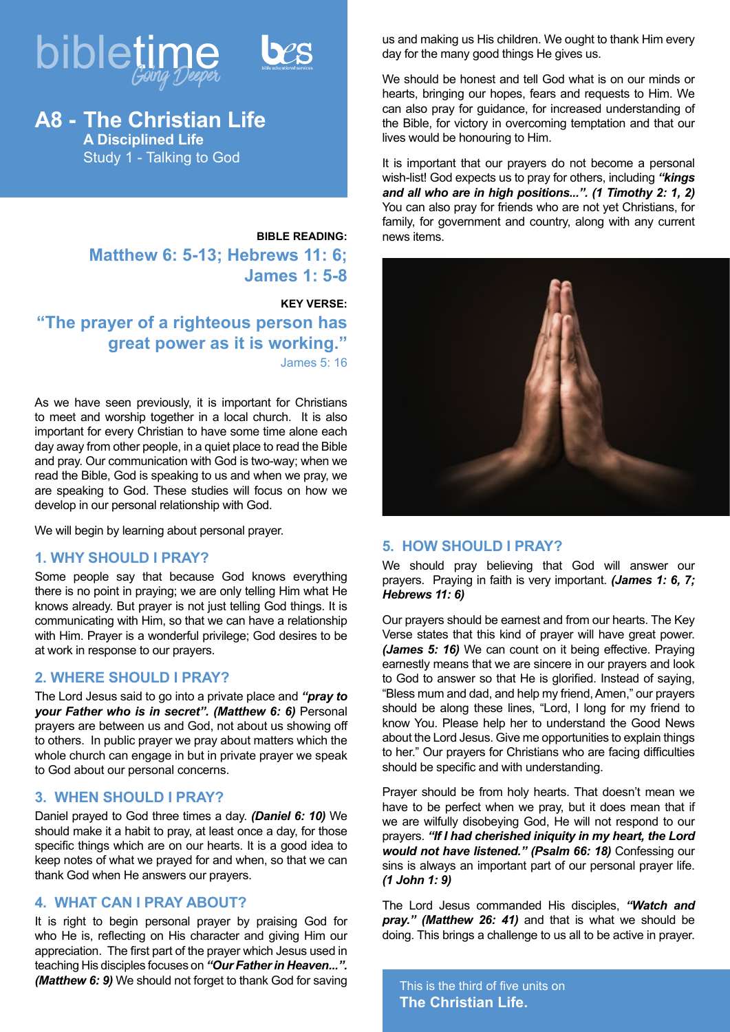



## **BIBLE READING: Matthew 6: 5-13; Hebrews 11: 6; James 1: 5-8**

#### **KEY VERSE:**

**"The prayer of a righteous person has great power as it is working."** James 5: 16

As we have seen previously, it is important for Christians to meet and worship together in a local church. It is also important for every Christian to have some time alone each day away from other people, in a quiet place to read the Bible and pray. Our communication with God is two-way; when we read the Bible, God is speaking to us and when we pray, we are speaking to God. These studies will focus on how we develop in our personal relationship with God.

We will begin by learning about personal prayer.

### **1. WHY SHOULD I PRAY?**

Some people say that because God knows everything there is no point in praying; we are only telling Him what He knows already. But prayer is not just telling God things. It is communicating with Him, so that we can have a relationship with Him. Prayer is a wonderful privilege; God desires to be at work in response to our prayers.

## **2. WHERE SHOULD I PRAY?**

The Lord Jesus said to go into a private place and *"pray to your Father who is in secret". (Matthew 6: 6)* Personal prayers are between us and God, not about us showing off to others. In public prayer we pray about matters which the whole church can engage in but in private prayer we speak to God about our personal concerns.

### **3. WHEN SHOULD I PRAY?**

Daniel prayed to God three times a day. *(Daniel 6: 10)* We should make it a habit to pray, at least once a day, for those specific things which are on our hearts. It is a good idea to keep notes of what we prayed for and when, so that we can thank God when He answers our prayers.

## **4. WHAT CAN I PRAY ABOUT?**

It is right to begin personal prayer by praising God for who He is, reflecting on His character and giving Him our appreciation. The first part of the prayer which Jesus used in teaching His disciples focuses on *"Our Father in Heaven...". (Matthew 6: 9)* We should not forget to thank God for saving

us and making us His children. We ought to thank Him every day for the many good things He gives us.

We should be honest and tell God what is on our minds or hearts, bringing our hopes, fears and requests to Him. We can also pray for guidance, for increased understanding of the Bible, for victory in overcoming temptation and that our lives would be honouring to Him.

It is important that our prayers do not become a personal wish-list! God expects us to pray for others, including *"kings and all who are in high positions...". (1 Timothy 2: 1, 2)* You can also pray for friends who are not yet Christians, for family, for government and country, along with any current news items.



## **5. HOW SHOULD I PRAY?**

We should pray believing that God will answer our prayers. Praying in faith is very important. *(James 1: 6, 7; Hebrews 11: 6)*

Our prayers should be earnest and from our hearts. The Key Verse states that this kind of prayer will have great power. *(James 5: 16)* We can count on it being effective. Praying earnestly means that we are sincere in our prayers and look to God to answer so that He is glorified. Instead of saying, "Bless mum and dad, and help my friend, Amen," our prayers should be along these lines, "Lord, I long for my friend to know You. Please help her to understand the Good News about the Lord Jesus. Give me opportunities to explain things to her." Our prayers for Christians who are facing difficulties should be specific and with understanding.

Prayer should be from holy hearts. That doesn't mean we have to be perfect when we pray, but it does mean that if we are wilfully disobeying God, He will not respond to our prayers. *"If I had cherished iniquity in my heart, the Lord would not have listened." (Psalm 66: 18)* Confessing our sins is always an important part of our personal prayer life. *(1 John 1: 9)*

The Lord Jesus commanded His disciples, *"Watch and pray." (Matthew 26: 41)* and that is what we should be doing. This brings a challenge to us all to be active in prayer.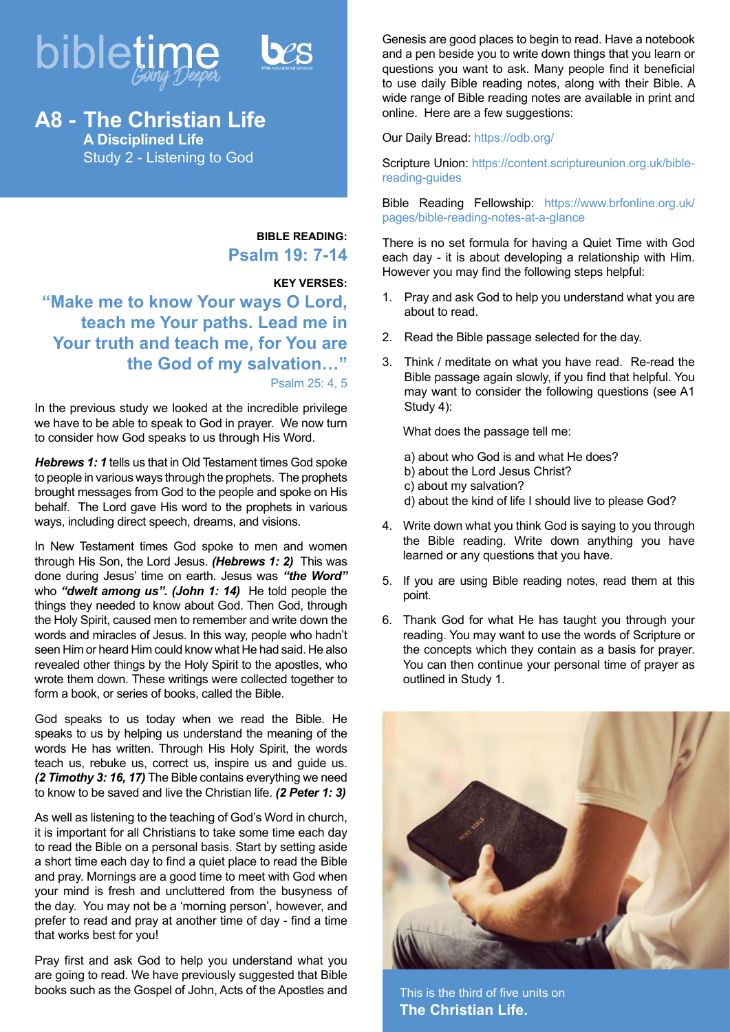



# **A8 - The Christian Life A Disciplined Life** Study 2 - Listening to God

**BIBLE READING: Psalm 19: 7-14**

### **KEY VERSES:**

**"Make me to know Your ways O Lord, teach me Your paths. Lead me in Your truth and teach me, for You are the God of my salvation…"** Psalm 25: 4, 5

In the previous study we looked at the incredible privilege we have to be able to speak to God in prayer. We now turn to consider how God speaks to us through His Word.

*Hebrews 1: 1* tells us that in Old Testament times God spoke to people in various ways through the prophets. The prophets brought messages from God to the people and spoke on His behalf. The Lord gave His word to the prophets in various ways, including direct speech, dreams, and visions.

In New Testament times God spoke to men and women through His Son, the Lord Jesus. *(Hebrews 1: 2)* This was done during Jesus' time on earth. Jesus was *"the Word"*  who *"dwelt among us". (John 1: 14)* He told people the things they needed to know about God. Then God, through the Holy Spirit, caused men to remember and write down the words and miracles of Jesus. In this way, people who hadn't seen Him or heard Him could know what He had said. He also revealed other things by the Holy Spirit to the apostles, who wrote them down. These writings were collected together to form a book, or series of books, called the Bible.

God speaks to us today when we read the Bible. He speaks to us by helping us understand the meaning of the words He has written. Through His Holy Spirit, the words teach us, rebuke us, correct us, inspire us and guide us. *(2 Timothy 3: 16, 17)* The Bible contains everything we need to know to be saved and live the Christian life. *(2 Peter 1: 3)* 

As well as listening to the teaching of God's Word in church, it is important for all Christians to take some time each day to read the Bible on a personal basis. Start by setting aside a short time each day to find a quiet place to read the Bible and pray. Mornings are a good time to meet with God when your mind is fresh and uncluttered from the busyness of the day. You may not be a 'morning person', however, and prefer to read and pray at another time of day - find a time that works best for you!

Pray first and ask God to help you understand what you are going to read. We have previously suggested that Bible books such as the Gospel of John, Acts of the Apostles and

Genesis are good places to begin to read. Have a notebook and a pen beside you to write down things that you learn or questions you want to ask. Many people find it beneficial to use daily Bible reading notes, along with their Bible. A wide range of Bible reading notes are available in print and online. Here are a few suggestions:

#### Our Daily Bread: https://odb.org/

Scripture Union: https://content.scriptureunion.org.uk/biblereading-guides

Bible Reading Fellowship: https://www.brfonline.org.uk/ pages/bible-reading-notes-at-a-glance

There is no set formula for having a Quiet Time with God each day - it is about developing a relationship with Him. However you may find the following steps helpful:

- 1. Pray and ask God to help you understand what you are about to read.
- 2. Read the Bible passage selected for the day.
- 3. Think / meditate on what you have read. Re-read the Bible passage again slowly, if you find that helpful. You may want to consider the following questions (see A1 Study 4):

What does the passage tell me:

- a) about who God is and what He does? b) about the Lord Jesus Christ? c) about my salvation? d) about the kind of life I should live to please God?
- 4. Write down what you think God is saying to you through the Bible reading. Write down anything you have learned or any questions that you have.
- 5. If you are using Bible reading notes, read them at this point.
- 6. Thank God for what He has taught you through your reading. You may want to use the words of Scripture or the concepts which they contain as a basis for prayer. You can then continue your personal time of prayer as outlined in Study 1.



This is the third of five units on **The Christian Life.**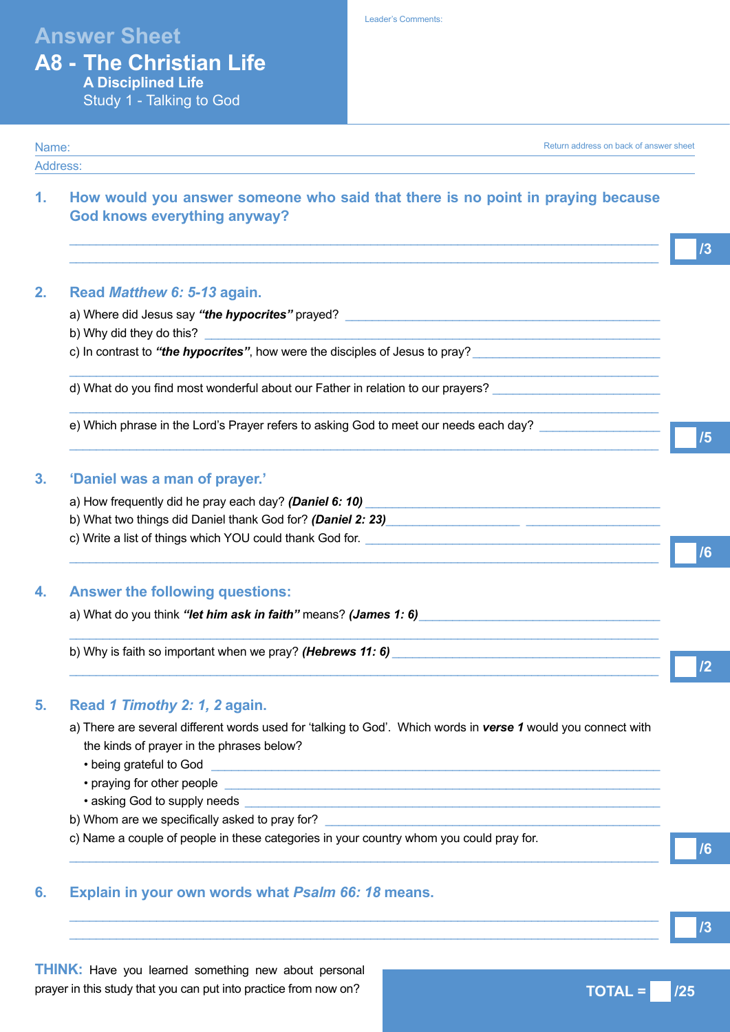# **Answer Sheet**

Leader's Comments:

## **A8 - The Christian Life A Disciplined Life** Study 1 - Talking to God

### Name: Address: Return address on back of answer sheet

 $\_$  ,  $\_$  ,  $\_$  ,  $\_$  ,  $\_$  ,  $\_$  ,  $\_$  ,  $\_$  ,  $\_$  ,  $\_$  ,  $\_$  ,  $\_$  ,  $\_$  ,  $\_$  ,  $\_$  ,  $\_$  ,  $\_$  ,  $\_$  ,  $\_$  ,  $\_$  ,  $\_$  ,  $\_$  ,  $\_$  ,  $\_$  ,  $\_$  ,  $\_$  ,  $\_$  ,  $\_$  ,  $\_$  ,  $\_$  ,  $\_$  ,  $\_$  ,  $\_$  ,  $\_$  ,  $\_$  ,  $\_$  ,  $\_$  ,  $\_$  ,  $\_$  ,  $\_$  ,  $\_$  ,  $\_$  ,  $\_$  ,  $\_$  ,  $\_$  ,  $\_$  ,  $\_$  ,  $\_$  ,  $\_$  ,  $\_$  ,  $\_$  ,  $\_$  ,  $\_$  ,  $\_$  ,  $\_$  ,  $\_$  ,  $\_$  ,  $\_$  ,  $\_$  ,  $\_$  ,  $\_$  ,  $\_$  ,  $\_$  ,  $\_$  ,  $\_$  ,  $\_$  ,  $\_$  ,  $\_$  ,  $\_$  ,  $\_$  ,  $\_$  ,  $\_$  ,  $\_$  ,  $\_$  ,

**1. How would you answer someone who said that there is no point in praying because God knows everything anyway?** 

| 2. |  | Read Matthew 6: 5-13 again. |  |  |  |
|----|--|-----------------------------|--|--|--|
|----|--|-----------------------------|--|--|--|

| b) Why did they do this?                                                     |  |
|------------------------------------------------------------------------------|--|
| c) In contrast to "the hypocrites", how were the disciples of Jesus to pray? |  |

 $\_$  ,  $\_$  ,  $\_$  ,  $\_$  ,  $\_$  ,  $\_$  ,  $\_$  ,  $\_$  ,  $\_$  ,  $\_$  ,  $\_$  ,  $\_$  ,  $\_$  ,  $\_$  ,  $\_$  ,  $\_$  ,  $\_$  ,  $\_$  ,  $\_$  ,  $\_$  ,  $\_$  ,  $\_$  ,  $\_$  ,  $\_$  ,  $\_$  ,  $\_$  ,  $\_$  ,  $\_$  ,  $\_$  ,  $\_$  ,  $\_$  ,  $\_$  ,  $\_$  ,  $\_$  ,  $\_$  ,  $\_$  ,  $\_$  ,

 $\_$  ,  $\_$  ,  $\_$  ,  $\_$  ,  $\_$  ,  $\_$  ,  $\_$  ,  $\_$  ,  $\_$  ,  $\_$  ,  $\_$  ,  $\_$  ,  $\_$  ,  $\_$  ,  $\_$  ,  $\_$  ,  $\_$  ,  $\_$  ,  $\_$  ,  $\_$  ,  $\_$  ,  $\_$  ,  $\_$  ,  $\_$  ,  $\_$  ,  $\_$  ,  $\_$  ,  $\_$  ,  $\_$  ,  $\_$  ,  $\_$  ,  $\_$  ,  $\_$  ,  $\_$  ,  $\_$  ,  $\_$  ,  $\_$  ,

e) Which phrase in the Lord's Prayer refers to asking God to meet our needs each day?

# **3. 'Daniel was a man of prayer.'**

| a) How frequently did he pray each day? (Daniel 6: 10)      |  |
|-------------------------------------------------------------|--|
| b) What two things did Daniel thank God for? (Daniel 2: 23) |  |
| c) Write a list of things which YOU could thank God for.    |  |

 $\_$  ,  $\_$  ,  $\_$  ,  $\_$  ,  $\_$  ,  $\_$  ,  $\_$  ,  $\_$  ,  $\_$  ,  $\_$  ,  $\_$  ,  $\_$  ,  $\_$  ,  $\_$  ,  $\_$  ,  $\_$  ,  $\_$  ,  $\_$  ,  $\_$  ,  $\_$  ,  $\_$  ,  $\_$  ,  $\_$  ,  $\_$  ,  $\_$  ,  $\_$  ,  $\_$  ,  $\_$  ,  $\_$  ,  $\_$  ,  $\_$  ,  $\_$  ,  $\_$  ,  $\_$  ,  $\_$  ,  $\_$  ,  $\_$  ,

 $\_$  ,  $\_$  ,  $\_$  ,  $\_$  ,  $\_$  ,  $\_$  ,  $\_$  ,  $\_$  ,  $\_$  ,  $\_$  ,  $\_$  ,  $\_$  ,  $\_$  ,  $\_$  ,  $\_$  ,  $\_$  ,  $\_$  ,  $\_$  ,  $\_$  ,  $\_$  ,  $\_$  ,  $\_$  ,  $\_$  ,  $\_$  ,  $\_$  ,  $\_$  ,  $\_$  ,  $\_$  ,  $\_$  ,  $\_$  ,  $\_$  ,  $\_$  ,  $\_$  ,  $\_$  ,  $\_$  ,  $\_$  ,  $\_$  ,

 $\_$  ,  $\_$  ,  $\_$  ,  $\_$  ,  $\_$  ,  $\_$  ,  $\_$  ,  $\_$  ,  $\_$  ,  $\_$  ,  $\_$  ,  $\_$  ,  $\_$  ,  $\_$  ,  $\_$  ,  $\_$  ,  $\_$  ,  $\_$  ,  $\_$  ,  $\_$  ,  $\_$  ,  $\_$  ,  $\_$  ,  $\_$  ,  $\_$  ,  $\_$  ,  $\_$  ,  $\_$  ,  $\_$  ,  $\_$  ,  $\_$  ,  $\_$  ,  $\_$  ,  $\_$  ,  $\_$  ,  $\_$  ,  $\_$  ,

# **4. Answer the following questions:**

a) What do you think "let him ask in faith" means? (James 1: 6)

b) Why is faith so important when we pray? *(Hebrews 11: 6)* 

# **5. Read** *1 Timothy 2: 1, 2* **again.**

a) There are several different words used for 'talking to God'. Which words in *verse 1* would you connect with the kinds of prayer in the phrases below?

 $\_$  ,  $\_$  ,  $\_$  ,  $\_$  ,  $\_$  ,  $\_$  ,  $\_$  ,  $\_$  ,  $\_$  ,  $\_$  ,  $\_$  ,  $\_$  ,  $\_$  ,  $\_$  ,  $\_$  ,  $\_$  ,  $\_$  ,  $\_$  ,  $\_$  ,  $\_$  ,  $\_$  ,  $\_$  ,  $\_$  ,  $\_$  ,  $\_$  ,  $\_$  ,  $\_$  ,  $\_$  ,  $\_$  ,  $\_$  ,  $\_$  ,  $\_$  ,  $\_$  ,  $\_$  ,  $\_$  ,  $\_$  ,  $\_$  ,

 $\_$  ,  $\_$  ,  $\_$  ,  $\_$  ,  $\_$  ,  $\_$  ,  $\_$  ,  $\_$  ,  $\_$  ,  $\_$  ,  $\_$  ,  $\_$  ,  $\_$  ,  $\_$  ,  $\_$  ,  $\_$  ,  $\_$  ,  $\_$  ,  $\_$  ,  $\_$  ,  $\_$  ,  $\_$  ,  $\_$  ,  $\_$  ,  $\_$  ,  $\_$  ,  $\_$  ,  $\_$  ,  $\_$  ,  $\_$  ,  $\_$  ,  $\_$  ,  $\_$  ,  $\_$  ,  $\_$  ,  $\_$  ,  $\_$  ,  $\_$  ,  $\_$  ,  $\_$  ,  $\_$  ,  $\_$  ,  $\_$  ,  $\_$  ,  $\_$  ,  $\_$  ,  $\_$  ,  $\_$  ,  $\_$  ,  $\_$  ,  $\_$  ,  $\_$  ,  $\_$  ,  $\_$  ,  $\_$  ,  $\_$  ,  $\_$  ,  $\_$  ,  $\_$  ,  $\_$  ,  $\_$  ,  $\_$  ,  $\_$  ,  $\_$  ,  $\_$  ,  $\_$  ,  $\_$  ,  $\_$  ,  $\_$  ,  $\_$  ,  $\_$  ,  $\_$  ,  $\_$  ,  $\_$  ,

- being grateful to God
- praying for other people \_\_\_\_\_\_\_\_\_\_\_\_\_\_\_\_\_\_\_\_\_\_\_\_\_\_\_\_\_\_\_\_\_\_\_\_\_\_\_\_\_\_\_\_\_\_\_\_\_\_\_\_\_\_\_\_\_\_\_\_\_\_\_\_\_
- asking God to supply needs
- b) Whom are we specifically asked to pray for?

c) Name a couple of people in these categories in your country whom you could pray for.

# **6. Explain in your own words what** *Psalm 66: 18* **means.**

**/3**

**/6**

**/3**

**/5**

**/6**

**/2**

**THINK:** Have you learned something new about personal prayer in this study that you can put into practice from now on?

**TOTAL = 725**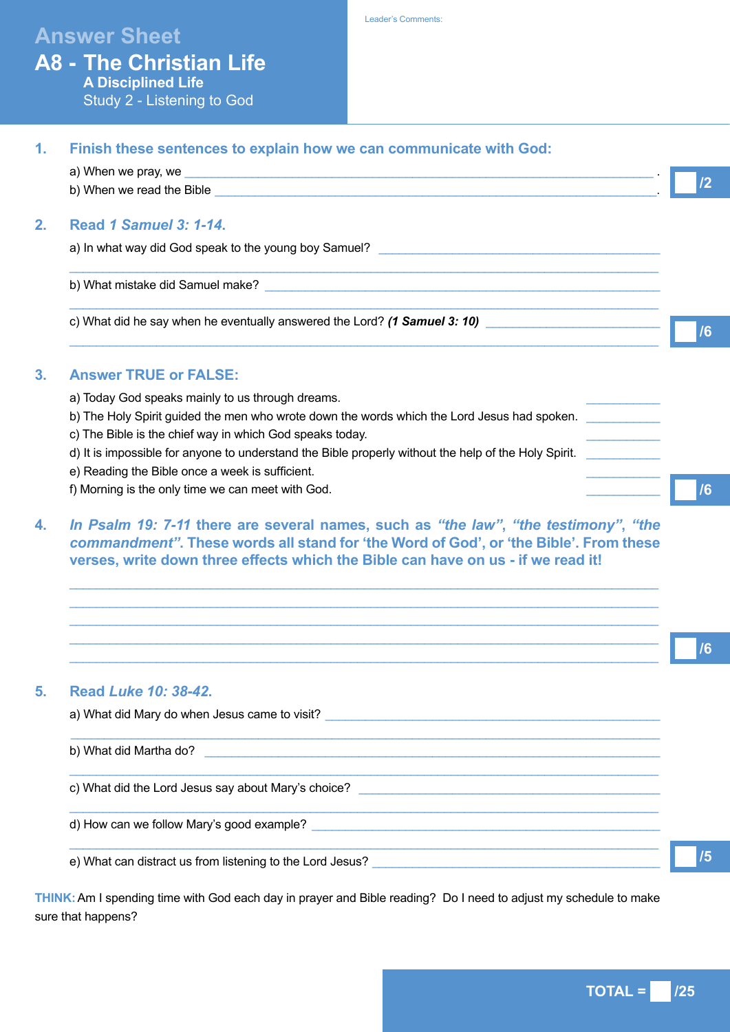# **Answer Sheet**

**A8 - The Christian Life A Disciplined Life** Study 2 - Listening to God

Leader's Comments:

| Finish these sentences to explain how we can communicate with God:                                                                                                                                                                   |                                                                                                                                                                                                                                                                                                                                                     |  |
|--------------------------------------------------------------------------------------------------------------------------------------------------------------------------------------------------------------------------------------|-----------------------------------------------------------------------------------------------------------------------------------------------------------------------------------------------------------------------------------------------------------------------------------------------------------------------------------------------------|--|
|                                                                                                                                                                                                                                      |                                                                                                                                                                                                                                                                                                                                                     |  |
| b) When we read the Bible <b>Solution Contract the Contract of the Contract of Contract Contract of Contract Contract Contract of Contract Contract Contract Contract Contract Contract Contract Contract Contract Contract Cont</b> |                                                                                                                                                                                                                                                                                                                                                     |  |
| <b>Read 1 Samuel 3: 1-14.</b>                                                                                                                                                                                                        |                                                                                                                                                                                                                                                                                                                                                     |  |
|                                                                                                                                                                                                                                      |                                                                                                                                                                                                                                                                                                                                                     |  |
|                                                                                                                                                                                                                                      |                                                                                                                                                                                                                                                                                                                                                     |  |
| c) What did he say when he eventually answered the Lord? (1 Samuel 3: 10)                                                                                                                                                            | /6                                                                                                                                                                                                                                                                                                                                                  |  |
| <b>Answer TRUE or FALSE:</b>                                                                                                                                                                                                         |                                                                                                                                                                                                                                                                                                                                                     |  |
| a) Today God speaks mainly to us through dreams.                                                                                                                                                                                     |                                                                                                                                                                                                                                                                                                                                                     |  |
| b) The Holy Spirit guided the men who wrote down the words which the Lord Jesus had spoken.                                                                                                                                          |                                                                                                                                                                                                                                                                                                                                                     |  |
| c) The Bible is the chief way in which God speaks today.                                                                                                                                                                             |                                                                                                                                                                                                                                                                                                                                                     |  |
| e) Reading the Bible once a week is sufficient.                                                                                                                                                                                      |                                                                                                                                                                                                                                                                                                                                                     |  |
| f) Morning is the only time we can meet with God.                                                                                                                                                                                    | /6                                                                                                                                                                                                                                                                                                                                                  |  |
| verses, write down three effects which the Bible can have on us - if we read it!                                                                                                                                                     |                                                                                                                                                                                                                                                                                                                                                     |  |
|                                                                                                                                                                                                                                      |                                                                                                                                                                                                                                                                                                                                                     |  |
|                                                                                                                                                                                                                                      |                                                                                                                                                                                                                                                                                                                                                     |  |
|                                                                                                                                                                                                                                      | 16                                                                                                                                                                                                                                                                                                                                                  |  |
|                                                                                                                                                                                                                                      | <u> 1989 - Johann Stoff, amerikansk politiker (d. 1989)</u><br>d) It is impossible for anyone to understand the Bible properly without the help of the Holy Spirit.<br>In Psalm 19: 7-11 there are several names, such as "the law", "the testimony", "the<br>commandment". These words all stand for 'the Word of God', or 'the Bible'. From these |  |

# **5. Read** *Luke 10: 38-42***.**

| b) What did Martha do?                              |  |
|-----------------------------------------------------|--|
| c) What did the Lord Jesus say about Mary's choice? |  |
| d) How can we follow Mary's good example?           |  |

**THINK:**Am I spending time with God each day in prayer and Bible reading? Do I need to adjust my schedule to make sure that happens?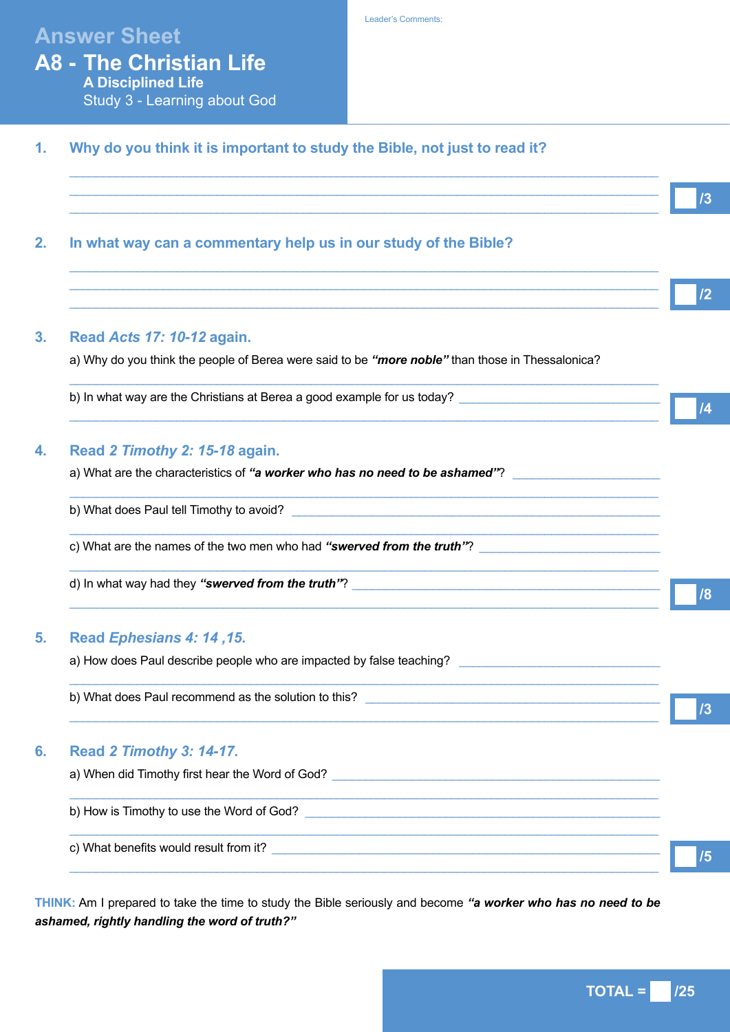# **Answer Sheet**

**A8 - The Christian Life**

| <b>A Disciplined Life</b><br>Study 3 - Learning about God                                                                                                            |
|----------------------------------------------------------------------------------------------------------------------------------------------------------------------|
| Why do you think it is important to study the Bible, not just to read it?                                                                                            |
| ,我们也不能在这里的时候,我们也不能在这里的时候,我们也不能会在这里的时候,我们也不能会在这里的时候,我们也不能会在这里的时候,我们也不能会在这里的时候,我们也                                                                                     |
| In what way can a commentary help us in our study of the Bible?                                                                                                      |
| ,我们也不能在这里的时候,我们也不能在这里的时候,我们也不能会在这里的时候,我们也不能会在这里的时候,我们也不能会在这里的时候,我们也不能会在这里的时候,我们也<br>,我们也不能在这里的时候,我们也不能在这里的时候,我们也不能会在这里的时候,我们也不能会在这里的时候,我们也不能会在这里的时候,我们也不能会在这里的时候,我们也 |
| Read Acts 17: 10-12 again.                                                                                                                                           |
| a) Why do you think the people of Berea were said to be "more noble" than those in Thessalonica?                                                                     |
| b) In what way are the Christians at Berea a good example for us today?                                                                                              |
| Read 2 Timothy 2: 15-18 again.                                                                                                                                       |
| a) What are the characteristics of "a worker who has no need to be ashamed"?                                                                                         |
| <u> 1989 - Johann Stoff, amerikansk politiker (d. 1989)</u>                                                                                                          |
| c) What are the names of the two men who had "swerved from the truth"?                                                                                               |
|                                                                                                                                                                      |
| Read Ephesians 4: 14, 15.                                                                                                                                            |
| a) How does Paul describe people who are impacted by false teaching?                                                                                                 |
|                                                                                                                                                                      |
|                                                                                                                                                                      |

# a) When did Timothy first hear the Word of God? \_\_\_\_\_\_\_\_\_\_\_\_\_\_\_\_\_\_\_\_\_\_\_\_\_\_\_\_\_\_\_\_\_  $\_$  ,  $\_$  ,  $\_$  ,  $\_$  ,  $\_$  ,  $\_$  ,  $\_$  ,  $\_$  ,  $\_$  ,  $\_$  ,  $\_$  ,  $\_$  ,  $\_$  ,  $\_$  ,  $\_$  ,  $\_$  ,  $\_$  ,  $\_$  ,  $\_$  ,  $\_$  ,  $\_$  ,  $\_$  ,  $\_$  ,  $\_$  ,  $\_$  ,  $\_$  ,  $\_$  ,  $\_$  ,  $\_$  ,  $\_$  ,  $\_$  ,  $\_$  ,  $\_$  ,  $\_$  ,  $\_$  ,  $\_$  ,  $\_$  , b) How is Timothy to use the Word of God? \_\_\_\_\_\_\_\_\_\_\_\_\_\_\_\_\_\_\_\_\_\_\_\_\_\_\_\_\_\_\_\_\_\_\_\_\_\_\_\_\_\_\_\_\_\_\_\_\_\_\_\_\_  $\_$  ,  $\_$  ,  $\_$  ,  $\_$  ,  $\_$  ,  $\_$  ,  $\_$  ,  $\_$  ,  $\_$  ,  $\_$  ,  $\_$  ,  $\_$  ,  $\_$  ,  $\_$  ,  $\_$  ,  $\_$  ,  $\_$  ,  $\_$  ,  $\_$  ,  $\_$  ,  $\_$  ,  $\_$  ,  $\_$  ,  $\_$  ,  $\_$  ,  $\_$  ,  $\_$  ,  $\_$  ,  $\_$  ,  $\_$  ,  $\_$  ,  $\_$  ,  $\_$  ,  $\_$  ,  $\_$  ,  $\_$  ,  $\_$  , c) What benefits would result from it?  $\_$  ,  $\_$  ,  $\_$  ,  $\_$  ,  $\_$  ,  $\_$  ,  $\_$  ,  $\_$  ,  $\_$  ,  $\_$  ,  $\_$  ,  $\_$  ,  $\_$  ,  $\_$  ,  $\_$  ,  $\_$  ,  $\_$  ,  $\_$  ,  $\_$  ,  $\_$  ,  $\_$  ,  $\_$  ,  $\_$  ,  $\_$  ,  $\_$  ,  $\_$  ,  $\_$  ,  $\_$  ,  $\_$  ,  $\_$  ,  $\_$  ,  $\_$  ,  $\_$  ,  $\_$  ,  $\_$  ,  $\_$  ,  $\_$  ,

**THINK:** Am I prepared to take the time to study the Bible seriously and become *"a worker who has no need to be ashamed, rightly handling the word of truth?"*

 $TOTAL = 125$ 

**/3**

**/2**

**/4**

**/8**

**/3**

**/5**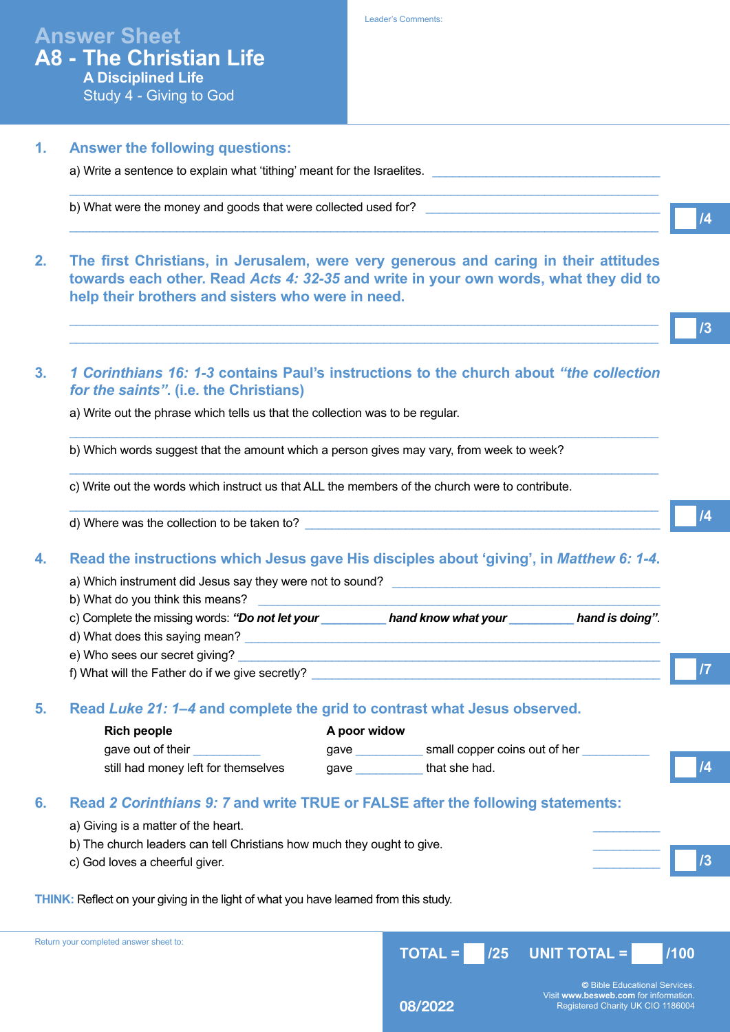| <b>Answer Sheet</b>            |
|--------------------------------|
| <b>A8 - The Christian Life</b> |
| <b>A Disciplined Life</b>      |
| Study 4 - Giving to God        |

**1. Answer the following questions:**

a) Write a sentence to explain what 'tithing' meant for the Israelites.

# $\_$  ,  $\_$  ,  $\_$  ,  $\_$  ,  $\_$  ,  $\_$  ,  $\_$  ,  $\_$  ,  $\_$  ,  $\_$  ,  $\_$  ,  $\_$  ,  $\_$  ,  $\_$  ,  $\_$  ,  $\_$  ,  $\_$  ,  $\_$  ,  $\_$  ,  $\_$  ,  $\_$  ,  $\_$  ,  $\_$  ,  $\_$  ,  $\_$  ,  $\_$  ,  $\_$  ,  $\_$  ,  $\_$  ,  $\_$  ,  $\_$  ,  $\_$  ,  $\_$  ,  $\_$  ,  $\_$  ,  $\_$  ,  $\_$  , b) What were the money and goods that were collected used for?  $\_$  ,  $\_$  ,  $\_$  ,  $\_$  ,  $\_$  ,  $\_$  ,  $\_$  ,  $\_$  ,  $\_$  ,  $\_$  ,  $\_$  ,  $\_$  ,  $\_$  ,  $\_$  ,  $\_$  ,  $\_$  ,  $\_$  ,  $\_$  ,  $\_$  ,  $\_$  ,  $\_$  ,  $\_$  ,  $\_$  ,  $\_$  ,  $\_$  ,  $\_$  ,  $\_$  ,  $\_$  ,  $\_$  ,  $\_$  ,  $\_$  ,  $\_$  ,  $\_$  ,  $\_$  ,  $\_$  ,  $\_$  ,  $\_$  , **2. The first Christians, in Jerusalem, were very generous and caring in their attitudes towards each other. Read** *Acts 4: 32-35* **and write in your own words, what they did to help their brothers and sisters who were in need.**  $\_$  ,  $\_$  ,  $\_$  ,  $\_$  ,  $\_$  ,  $\_$  ,  $\_$  ,  $\_$  ,  $\_$  ,  $\_$  ,  $\_$  ,  $\_$  ,  $\_$  ,  $\_$  ,  $\_$  ,  $\_$  ,  $\_$  ,  $\_$  ,  $\_$  ,  $\_$  ,  $\_$  ,  $\_$  ,  $\_$  ,  $\_$  ,  $\_$  ,  $\_$  ,  $\_$  ,  $\_$  ,  $\_$  ,  $\_$  ,  $\_$  ,  $\_$  ,  $\_$  ,  $\_$  ,  $\_$  ,  $\_$  ,  $\_$  ,  $\_$  ,  $\_$  ,  $\_$  ,  $\_$  ,  $\_$  ,  $\_$  ,  $\_$  ,  $\_$  ,  $\_$  ,  $\_$  ,  $\_$  ,  $\_$  ,  $\_$  ,  $\_$  ,  $\_$  ,  $\_$  ,  $\_$  ,  $\_$  ,  $\_$  ,  $\_$  ,  $\_$  ,  $\_$  ,  $\_$  ,  $\_$  ,  $\_$  ,  $\_$  ,  $\_$  ,  $\_$  ,  $\_$  ,  $\_$  ,  $\_$  ,  $\_$  ,  $\_$  ,  $\_$  ,  $\_$  ,  $\_$  ,  $\_$  , **3.** *1 Corinthians 16: 1-3* **contains Paul's instructions to the church about** *"the collection for the saints"***. (i.e. the Christians)** a) Write out the phrase which tells us that the collection was to be regular.  $\_$  ,  $\_$  ,  $\_$  ,  $\_$  ,  $\_$  ,  $\_$  ,  $\_$  ,  $\_$  ,  $\_$  ,  $\_$  ,  $\_$  ,  $\_$  ,  $\_$  ,  $\_$  ,  $\_$  ,  $\_$  ,  $\_$  ,  $\_$  ,  $\_$  ,  $\_$  ,  $\_$  ,  $\_$  ,  $\_$  ,  $\_$  ,  $\_$  ,  $\_$  ,  $\_$  ,  $\_$  ,  $\_$  ,  $\_$  ,  $\_$  ,  $\_$  ,  $\_$  ,  $\_$  ,  $\_$  ,  $\_$  ,  $\_$  , b) Which words suggest that the amount which a person gives may vary, from week to week?  $\Box$  . The contribution of the contribution of the contribution of the contribution of the contribution of the contribution of the contribution of the contribution of the contribution of the contribution of the contributi c) Write out the words which instruct us that ALL the members of the church were to contribute.  $\Box$  . The contribution of the contribution of the contribution of the contribution of the contribution of the contribution of the contribution of the contribution of the contribution of the contribution of the contributi d) Where was the collection to be taken to? **4. Read the instructions which Jesus gave His disciples about 'giving', in** *Matthew 6: 1-4***.** a) Which instrument did Jesus say they were not to sound? b) What do you think this means? c) Complete the missing words: *"Do not let your \_\_\_\_\_\_\_\_\_\_ hand know what your \_\_\_\_\_\_\_\_\_\_ hand is doing"*. d) What does this saying mean? e) Who sees our secret giving? f) What will the Father do if we give secretly? **5. Read** *Luke 21: 1–4* **and complete the grid to contrast what Jesus observed. Rich people A poor widow** gave out of their example and their gave gave small copper coins out of her still had money left for themselves gave that she had. **6. Read** *2 Corinthians 9: 7* **and write TRUE or FALSE after the following statements:** a) Giving is a matter of the heart. b) The church leaders can tell Christians how much they ought to give. c) God loves a cheerful giver. **THINK:** Reflect on your giving in the light of what you have learned from this study. **TOTAL = /25 UNIT TOTAL = /100**  Return your completed answer sheet to: **©** Bible Educational Services.

**08/2022**

**/4**

**/3**

**/4**

**/7**

**/4**

**/3**

Visit **www.besweb.com** for information. Registered Charity UK CIO 1186004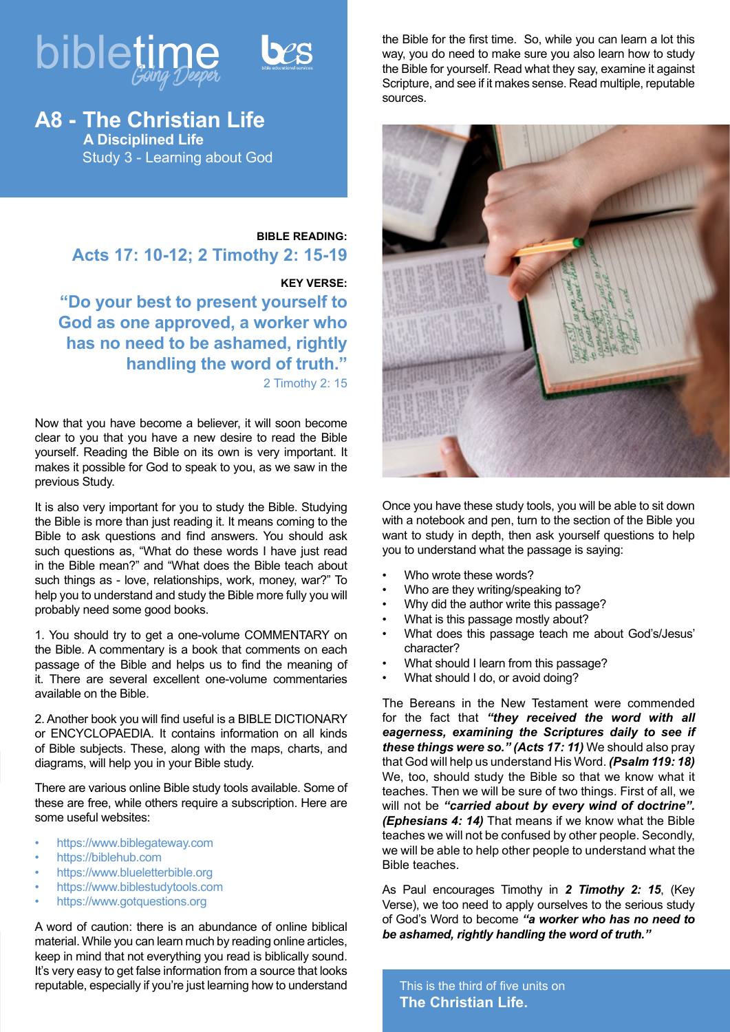

**A8 - The Christian Life A Disciplined Life** Study 3 - Learning about God

## **BIBLE READING: Acts 17: 10-12; 2 Timothy 2: 15-19**

### **KEY VERSE:**

**"Do your best to present yourself to God as one approved, a worker who has no need to be ashamed, rightly handling the word of truth."** 2 Timothy 2: 15

Now that you have become a believer, it will soon become clear to you that you have a new desire to read the Bible yourself. Reading the Bible on its own is very important. It makes it possible for God to speak to you, as we saw in the previous Study.

It is also very important for you to study the Bible. Studying the Bible is more than just reading it. It means coming to the Bible to ask questions and find answers. You should ask such questions as, "What do these words I have just read in the Bible mean?" and "What does the Bible teach about such things as - love, relationships, work, money, war?" To help you to understand and study the Bible more fully you will probably need some good books.

1. You should try to get a one-volume COMMENTARY on the Bible. A commentary is a book that comments on each passage of the Bible and helps us to find the meaning of it. There are several excellent one-volume commentaries available on the Bible.

2. Another book you will find useful is a BIBLE DICTIONARY or ENCYCLOPAEDIA. It contains information on all kinds of Bible subjects. These, along with the maps, charts, and diagrams, will help you in your Bible study.

There are various online Bible study tools available. Some of these are free, while others require a subscription. Here are some useful websites:

- https://www.biblegateway.com
- https://biblehub.com
- https://www.blueletterbible.org
- https://www.biblestudytools.com
- https://www.gotquestions.org

A word of caution: there is an abundance of online biblical material. While you can learn much by reading online articles, keep in mind that not everything you read is biblically sound. It's very easy to get false information from a source that looks reputable, especially if you're just learning how to understand the Bible for the first time. So, while you can learn a lot this way, you do need to make sure you also learn how to study the Bible for yourself. Read what they say, examine it against Scripture, and see if it makes sense. Read multiple, reputable sources.



Once you have these study tools, you will be able to sit down with a notebook and pen, turn to the section of the Bible you want to study in depth, then ask yourself questions to help you to understand what the passage is saying:

- Who wrote these words?
- Who are they writing/speaking to?
- Why did the author write this passage?
- What is this passage mostly about?
- What does this passage teach me about God's/Jesus' character?
- What should I learn from this passage?
- What should I do, or avoid doing?

The Bereans in the New Testament were commended for the fact that *"they received the word with all eagerness, examining the Scriptures daily to see if these things were so." (Acts 17: 11)* We should also pray that God will help us understand His Word. *(Psalm 119: 18)* We, too, should study the Bible so that we know what it teaches. Then we will be sure of two things. First of all, we will not be *"carried about by every wind of doctrine". (Ephesians 4: 14)* That means if we know what the Bible teaches we will not be confused by other people. Secondly, we will be able to help other people to understand what the Bible teaches.

As Paul encourages Timothy in *2 Timothy 2: 15*, (Key Verse), we too need to apply ourselves to the serious study of God's Word to become *"a worker who has no need to be ashamed, rightly handling the word of truth."* 

This is the third of five units on **The Christian Life.**